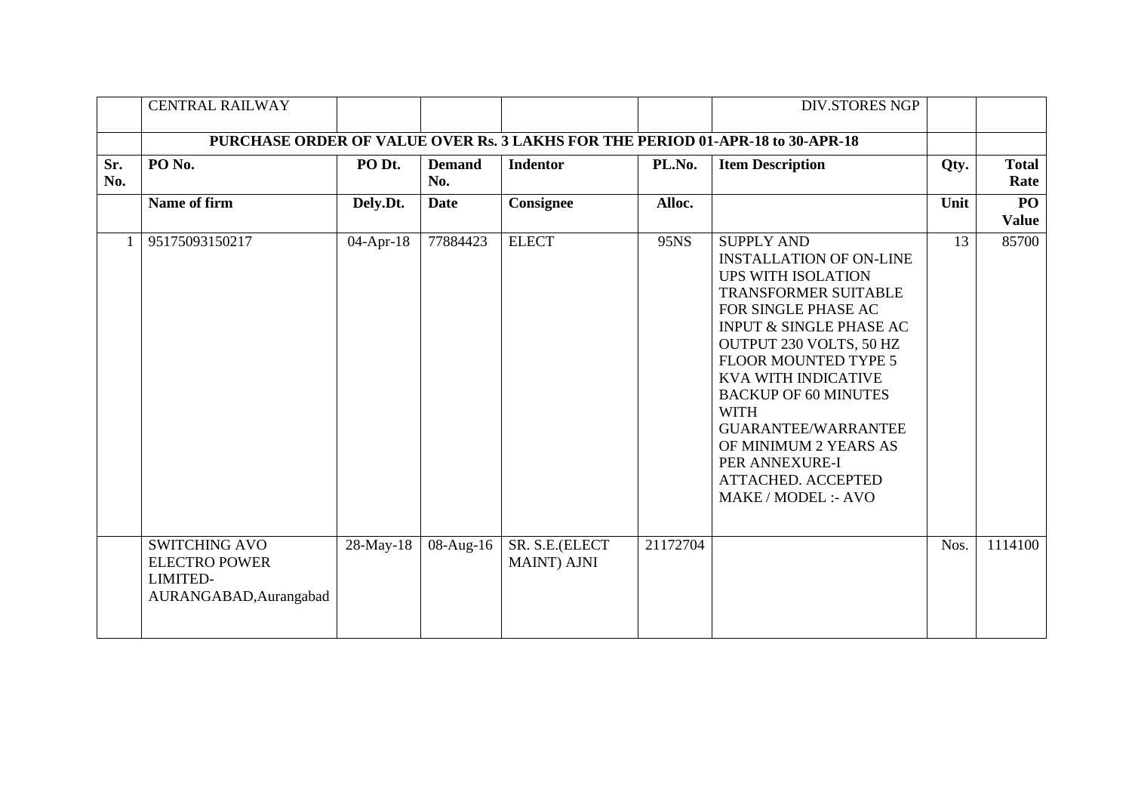|            | <b>CENTRAL RAILWAY</b>                                                                    |           |                         |                                       |          | <b>DIV.STORES NGP</b>                                                                                                                                                                                                                                                                                                                                                                                                                    |      |                      |
|------------|-------------------------------------------------------------------------------------------|-----------|-------------------------|---------------------------------------|----------|------------------------------------------------------------------------------------------------------------------------------------------------------------------------------------------------------------------------------------------------------------------------------------------------------------------------------------------------------------------------------------------------------------------------------------------|------|----------------------|
|            | PURCHASE ORDER OF VALUE OVER Rs. 3 LAKHS FOR THE PERIOD 01-APR-18 to 30-APR-18            |           |                         |                                       |          |                                                                                                                                                                                                                                                                                                                                                                                                                                          |      |                      |
| Sr.<br>No. | PO <sub>No.</sub>                                                                         | PO Dt.    | <b>Demand</b><br>No.    | <b>Indentor</b>                       | PL.No.   | <b>Item Description</b>                                                                                                                                                                                                                                                                                                                                                                                                                  | Qty. | <b>Total</b><br>Rate |
|            | Name of firm                                                                              | Dely.Dt.  | <b>Date</b>             | Consignee                             | Alloc.   |                                                                                                                                                                                                                                                                                                                                                                                                                                          | Unit | PO<br><b>Value</b>   |
|            | 95175093150217                                                                            | 04-Apr-18 | 77884423                | <b>ELECT</b>                          | 95NS     | <b>SUPPLY AND</b><br><b>INSTALLATION OF ON-LINE</b><br><b>UPS WITH ISOLATION</b><br><b>TRANSFORMER SUITABLE</b><br>FOR SINGLE PHASE AC<br><b>INPUT &amp; SINGLE PHASE AC</b><br>OUTPUT 230 VOLTS, 50 HZ<br>FLOOR MOUNTED TYPE 5<br><b>KVA WITH INDICATIVE</b><br><b>BACKUP OF 60 MINUTES</b><br><b>WITH</b><br><b>GUARANTEE/WARRANTEE</b><br>OF MINIMUM 2 YEARS AS<br>PER ANNEXURE-I<br><b>ATTACHED. ACCEPTED</b><br>MAKE / MODEL :- AVO | 13   | 85700                |
|            | <b>SWITCHING AVO</b><br><b>ELECTRO POWER</b><br><b>LIMITED-</b><br>AURANGABAD, Aurangabad | 28-May-18 | $\overline{08}$ -Aug-16 | SR. S.E.(ELECT<br><b>MAINT</b> ) AJNI | 21172704 |                                                                                                                                                                                                                                                                                                                                                                                                                                          | Nos. | 1114100              |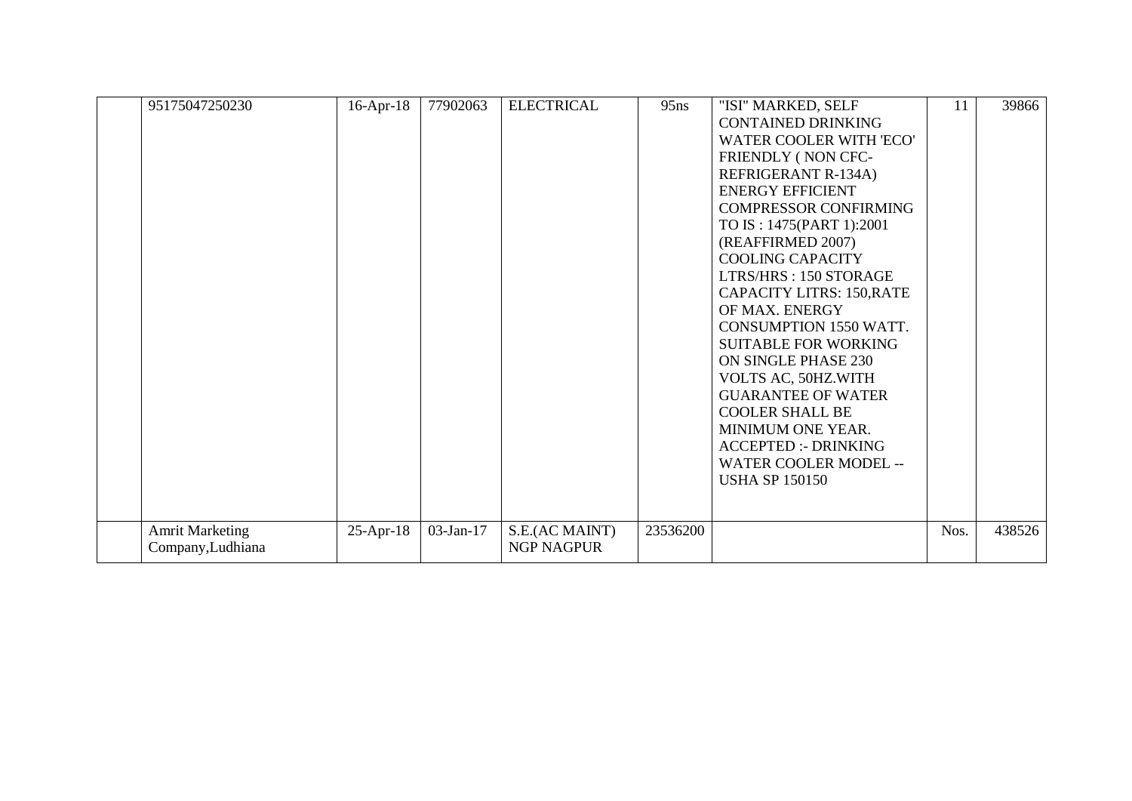| 95175047250230                              | $16$ -Apr- $18$ | 77902063  | <b>ELECTRICAL</b>            | 95ns     | "ISI" MARKED, SELF<br><b>CONTAINED DRINKING</b><br>WATER COOLER WITH 'ECO'<br>FRIENDLY (NON CFC-<br>REFRIGERANT R-134A)<br><b>ENERGY EFFICIENT</b><br><b>COMPRESSOR CONFIRMING</b><br>TO IS: 1475(PART 1):2001<br>(REAFFIRMED 2007)<br><b>COOLING CAPACITY</b><br>LTRS/HRS: 150 STORAGE<br><b>CAPACITY LITRS: 150, RATE</b><br>OF MAX. ENERGY<br>CONSUMPTION 1550 WATT.<br><b>SUITABLE FOR WORKING</b><br>ON SINGLE PHASE 230<br>VOLTS AC, 50HZ.WITH<br><b>GUARANTEE OF WATER</b><br><b>COOLER SHALL BE</b><br>MINIMUM ONE YEAR.<br><b>ACCEPTED :- DRINKING</b><br>WATER COOLER MODEL --<br><b>USHA SP 150150</b> | 11   | 39866  |
|---------------------------------------------|-----------------|-----------|------------------------------|----------|-------------------------------------------------------------------------------------------------------------------------------------------------------------------------------------------------------------------------------------------------------------------------------------------------------------------------------------------------------------------------------------------------------------------------------------------------------------------------------------------------------------------------------------------------------------------------------------------------------------------|------|--------|
| <b>Amrit Marketing</b><br>Company, Ludhiana | $25$ -Apr-18    | 03-Jan-17 | S.E.(AC MAINT)<br>NGP NAGPUR | 23536200 |                                                                                                                                                                                                                                                                                                                                                                                                                                                                                                                                                                                                                   | Nos. | 438526 |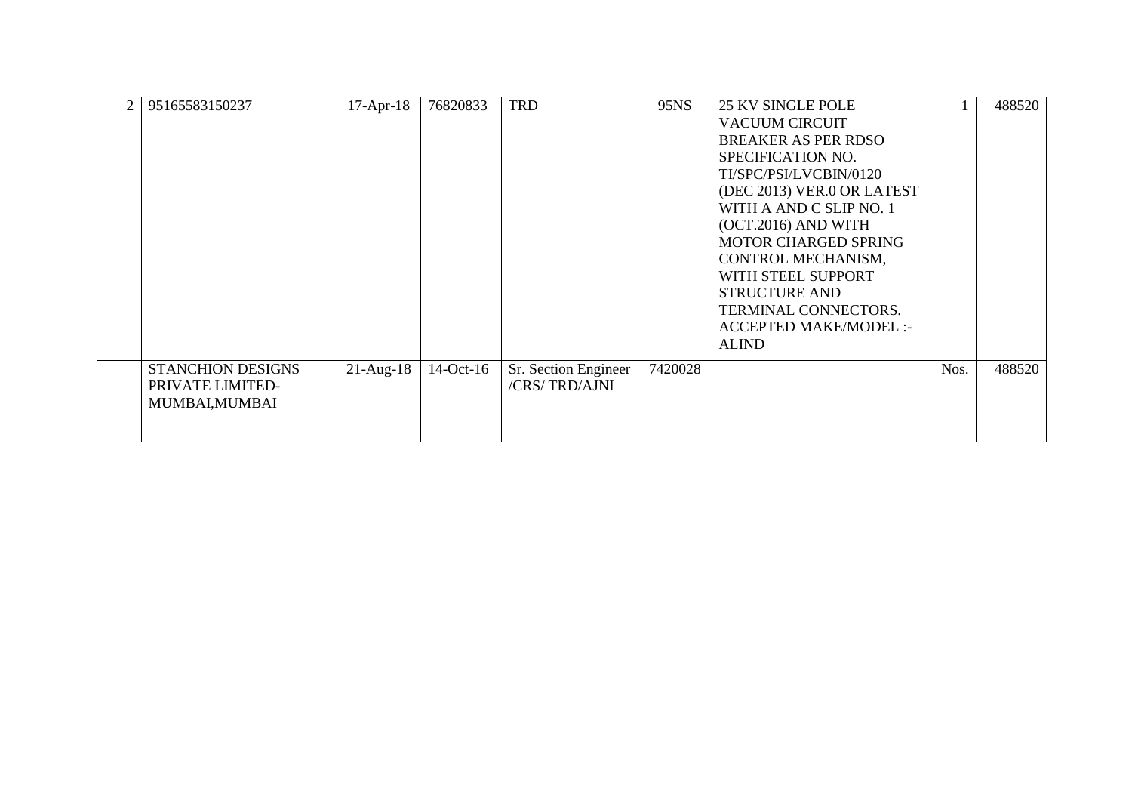| $\overline{2}$ | 95165583150237                                                 | $17-Apr-18$ | 76820833    | <b>TRD</b>                            | 95NS    | <b>25 KV SINGLE POLE</b><br><b>VACUUM CIRCUIT</b><br><b>BREAKER AS PER RDSO</b><br>SPECIFICATION NO.<br>TI/SPC/PSI/LVCBIN/0120<br>(DEC 2013) VER.0 OR LATEST<br>WITH A AND C SLIP NO. 1        |      | 488520 |
|----------------|----------------------------------------------------------------|-------------|-------------|---------------------------------------|---------|------------------------------------------------------------------------------------------------------------------------------------------------------------------------------------------------|------|--------|
|                |                                                                |             |             |                                       |         | (OCT.2016) AND WITH<br><b>MOTOR CHARGED SPRING</b><br>CONTROL MECHANISM,<br>WITH STEEL SUPPORT<br><b>STRUCTURE AND</b><br>TERMINAL CONNECTORS.<br><b>ACCEPTED MAKE/MODEL:-</b><br><b>ALIND</b> |      |        |
|                | <b>STANCHION DESIGNS</b><br>PRIVATE LIMITED-<br>MUMBAI, MUMBAI | $21-Aug-18$ | $14-Oct-16$ | Sr. Section Engineer<br>/CRS/TRD/AJNI | 7420028 |                                                                                                                                                                                                | Nos. | 488520 |